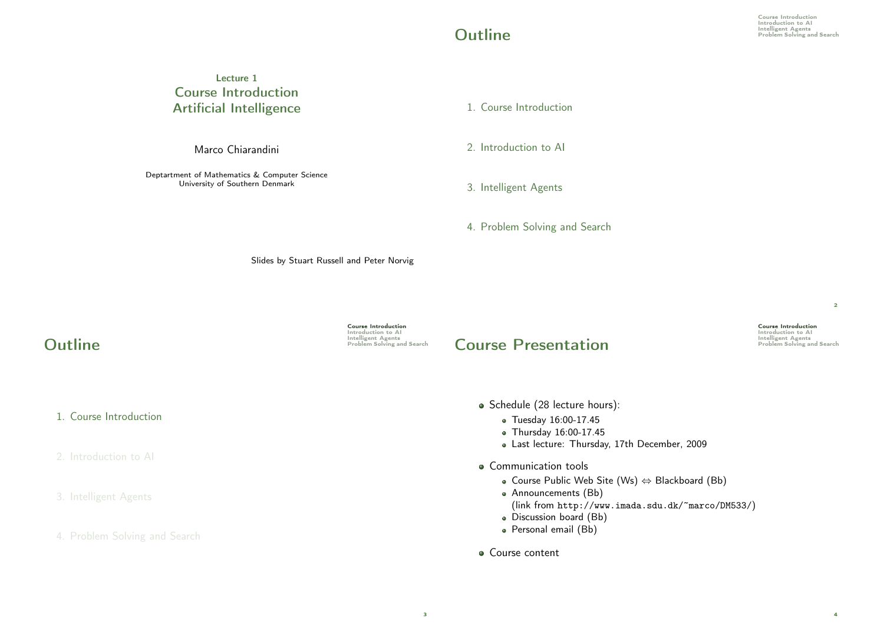2

4

Course Introduction Introduction<br>Introduction to AI<br>Intelligent Agents<br>Problem Solving and Search

## Lecture 1 Course Introduction Artificial Intelligence

Marco Chiarandini

Deptartment of Mathematics & Computer Science University of Southern Denmark

1. Course Introduction

2. Introduction to AI

### 3. Intelligent Agents

4. Problem Solving and Search

Slides by Stuart Russell and Peter Norvig

1. Course Introduction

2. Introduction to AI

#### 3. Intelligent Agents

4. Problem Solving and Search

Course Introduction Introduction to AI<br>
Intelligent Agents<br>
Problem Solving and Search

3

## **Course Presentation**

Schedule (28 lecture hours):

- Tuesday 16:00-17.45
- Thursday 16:00-17.45
- Last lecture: Thursday, 17th December, 2009
- Communication tools
	- Course Public Web Site (Ws) ⇔ Blackboard (Bb)
	- Announcements (Bb)
		- (link from http://www.imada.sdu.dk/~marco/DM533/)
	- Discussion board (Bb)
	- · Personal email (Bb)
- Course content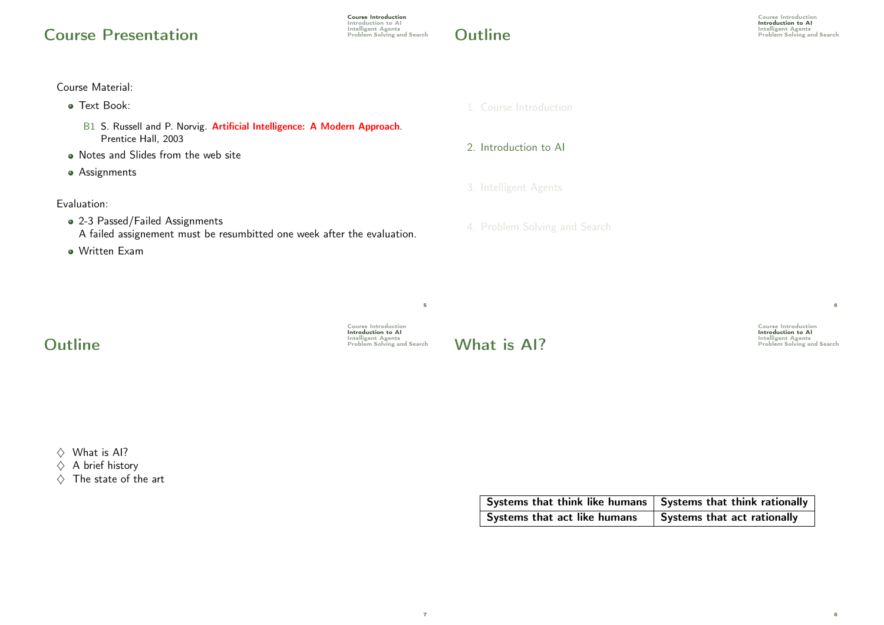# Course Presentation **Presentation**

## Course Material:

- **Text Book:** 
	- B1 S. Russell and P. Norvig. Artificial Intelligence: A Modern Approach. Prentice Hall, 2003
- Notes and Slides from the web site
- **•** Assignments

## Evaluation:

- 2-3 Passed/Failed Assignments A failed assignement must be resumbitted one week after the evaluation.
- Written Exam

### 1. Course Introduction

2. Introduction to AI

## 3. Intelligent Agents

4. Problem Solving and Search

Course Introduction **Introduction to AI**<br>Intelligent Agents<br>Problem Solving and Search

6

8

Course Introduction Introduction to AI **Outline** and Search **Outline** *Problem Solving and Search Problem Solving and Search* 

5

7

What is AI?

 $\Diamond$  What is Al?

 $\Diamond$  A brief history

 $\Diamond$  The state of the art

| Systems that think like humans   Systems that think rationally |                             |
|----------------------------------------------------------------|-----------------------------|
| Systems that act like humans                                   | Systems that act rationally |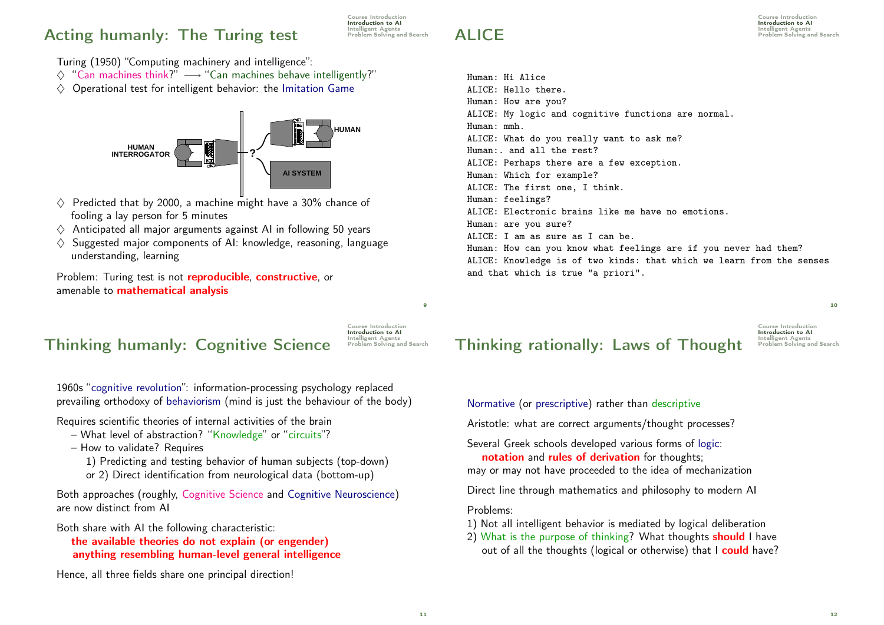# Acting humanly: The Turing test Problem Solving and Search

Course Introduction Introduction to AI<br>Intelligent Agents

 $\mathsf{ALICE}$  and  $\mathsf{E}$  and  $\mathsf{E}$  and  $\mathsf{E}$  and  $\mathsf{E}$  and  $\mathsf{E}$  and  $\mathsf{E}$  and  $\mathsf{E}$  and  $\mathsf{E}$  and  $\mathsf{E}$  and  $\mathsf{E}$  and  $\mathsf{E}$  and  $\mathsf{E}$  and  $\mathsf{E}$  and  $\mathsf{E}$  and  $\mathsf{E}$  and  $\mathsf{E}$  and

Course Introduction Introduction to AI<br>Intelligent Agents

Turing (1950) "Computing machinery and intelligence":

- $\Diamond$  "Can machines think?"  $\longrightarrow$  "Can machines behave intelligently?"
- $\diamond$  Operational test for intelligent behavior: the Imitation Game



- $\diamond$  Predicted that by 2000, a machine might have a 30% chance of fooling a lay person for 5 minutes
- $\Diamond$  Anticipated all major arguments against AI in following 50 years
- $\Diamond$  Suggested major components of AI: knowledge, reasoning, language understanding, learning

Problem: Turing test is not **reproducible, constructive**, or amenable to mathematical analysis

# Intelligent Agents Thinking humanly: Cognitive Science Problem Solving and Search

Course Introduction Introduction to AI

 $\overline{9}$ 

1960s "cognitive revolution": information-processing psychology replaced prevailing orthodoxy of behaviorism (mind is just the behaviour of the body)

Requires scientific theories of internal activities of the brain

- What level of abstraction? "Knowledge" or "circuits"?
- How to validate? Requires
	- 1) Predicting and testing behavior of human subjects (top-down)
	- or 2) Direct identification from neurological data (bottom-up)

Both approaches (roughly, Cognitive Science and Cognitive Neuroscience) are now distinct from AI

Both share with AI the following characteristic:

the available theories do not explain (or engender) anything resembling human-level general intelligence

Hence, all three fields share one principal direction!

Human: Hi Alice ALICE: Hello there. Human: How are you? ALICE: My logic and cognitive functions are normal. Human: mmh. ALICE: What do you really want to ask me? Human:. and all the rest? ALICE: Perhaps there are a few exception. Human: Which for example? ALICE: The first one, I think. Human: feelings? ALICE: Electronic brains like me have no emotions. Human: are you sure? ALICE: I am as sure as I can be. Human: How can you know what feelings are if you never had them? ALICE: Knowledge is of two kinds: that which we learn from the senses

10

# Intelligent Agents Thinking rationally: Laws of Thought Problem Solving and Search

and that which is true "a priori".

Course Introduction Introduction to AI

Normative (or prescriptive) rather than descriptive

Aristotle: what are correct arguments/thought processes?

Several Greek schools developed various forms of logic:

notation and rules of derivation for thoughts;

may or may not have proceeded to the idea of mechanization

Direct line through mathematics and philosophy to modern AI

Problems:

- 1) Not all intelligent behavior is mediated by logical deliberation
- 2) What is the purpose of thinking? What thoughts **should** I have out of all the thoughts (logical or otherwise) that I could have?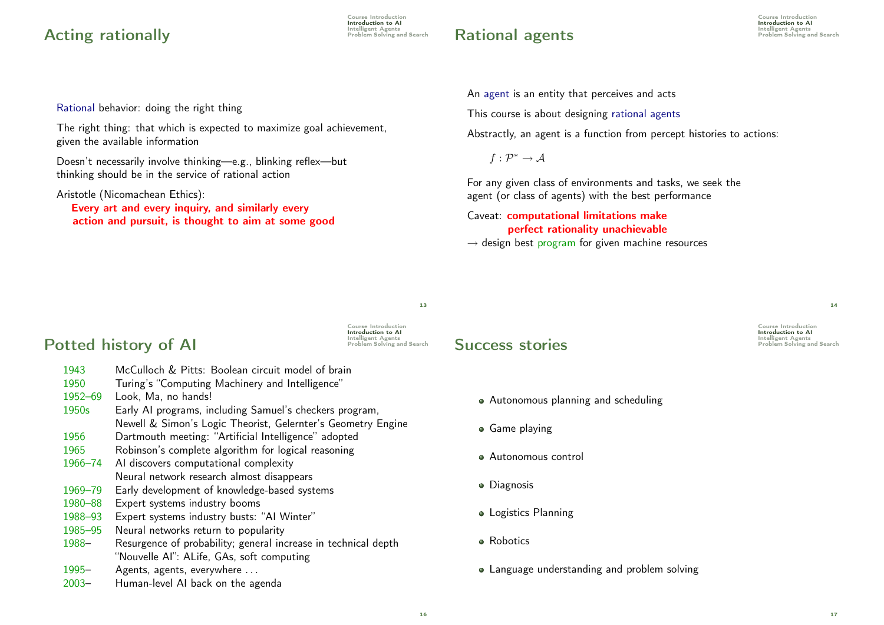# Acting rationally and the control of the problem Solving and Search

Course Introduction **Introduction to AI**<br>Intelligent Agents

# Rational agents **Rational**

Course Introduction Introduction to AI<br>Intelligent Agents

Rational behavior: doing the right thing

The right thing: that which is expected to maximize goal achievement, given the available information

Doesn't necessarily involve thinking—e.g., blinking reflex—but thinking should be in the service of rational action

Aristotle (Nicomachean Ethics):

Every art and every inquiry, and similarly every action and pursuit, is thought to aim at some good An agent is an entity that perceives and acts

This course is about designing rational agents

Abstractly, an agent is a function from percept histories to actions:

 $f:\mathcal{P}^*\rightarrow \mathcal{A}$ 

For any given class of environments and tasks, we seek the agent (or class of agents) with the best performance

Caveat: computational limitations make perfect rationality unachievable  $\rightarrow$  design best program for given machine resources

13

# Potted history of AI

**Introduction to AI**<br>Intelligent Agents<br>Problem Solving and Search

Course Introduction

- 1943 McCulloch & Pitts: Boolean circuit model of brain
- 1950 Turing's "Computing Machinery and Intelligence"
- 1952–69 Look, Ma, no hands!
- 1950s Early AI programs, including Samuel's checkers program, Newell & Simon's Logic Theorist, Gelernter's Geometry Engine
- 1956 Dartmouth meeting: "Artificial Intelligence" adopted
- 1965 Robinson's complete algorithm for logical reasoning
- 1966–74 AI discovers computational complexity Neural network research almost disappears
- 1969–79 Early development of knowledge-based systems
- 1980–88 Expert systems industry booms
- 1988–93 Expert systems industry busts: "AI Winter"
- 1985–95 Neural networks return to popularity
- 1988– Resurgence of probability; general increase in technical depth "Nouvelle AI": ALife, GAs, soft computing
- 1995– Agents, agents, everywhere . . .
- 2003– Human-level AI back on the agenda

## **Success stories**

- Autonomous planning and scheduling
- Game playing
- Autonomous control
- **•** Diagnosis
- **Logistics Planning**
- **•** Robotics
- Language understanding and problem solving

17

 $\overline{14}$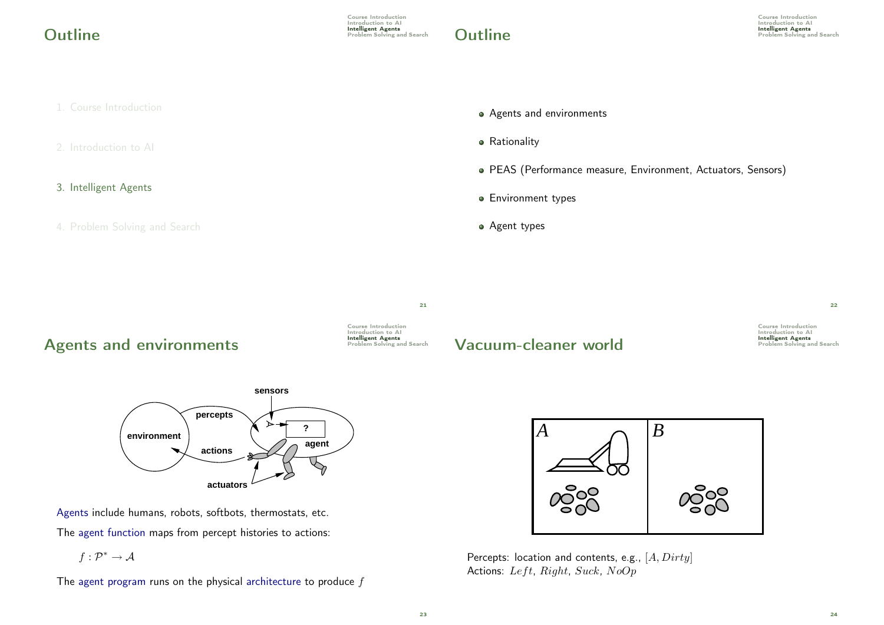Course Introduction Introduction to Al<br>Intelligent Agents **Outline** and Search of the United States of the United Search Agents and Search of the Problem Solving and Search of the United Search of the United Search of the United Search of the United Search of the United Search of

- 1. Course Introduction
- 2. Introduction to AI
- 3. Intelligent Agents
- 4. Problem Solving and Search
- Agents and environments
- **•** Rationality
- PEAS (Performance measure, Environment, Actuators, Sensors)
- **•** Environment types
- Agent types

21

# Agents and environments **Intelligent Agents**

Course Introduction Introduction to AI<br>Intelligent Agents

## **Vacuum-cleaner world** Problem Solving and Search

Course Introduction Introduction to AI<br>Intelligent Agents

22



Agents include humans, robots, softbots, thermostats, etc. The agent function maps from percept histories to actions:

 $f:\mathcal{P}^*\rightarrow \mathcal{A}$ 

The agent program runs on the physical architecture to produce  $f$ 



Percepts: location and contents, e.g.,  $[A, Dirty]$ Actions: Left, Right, Suck, NoOp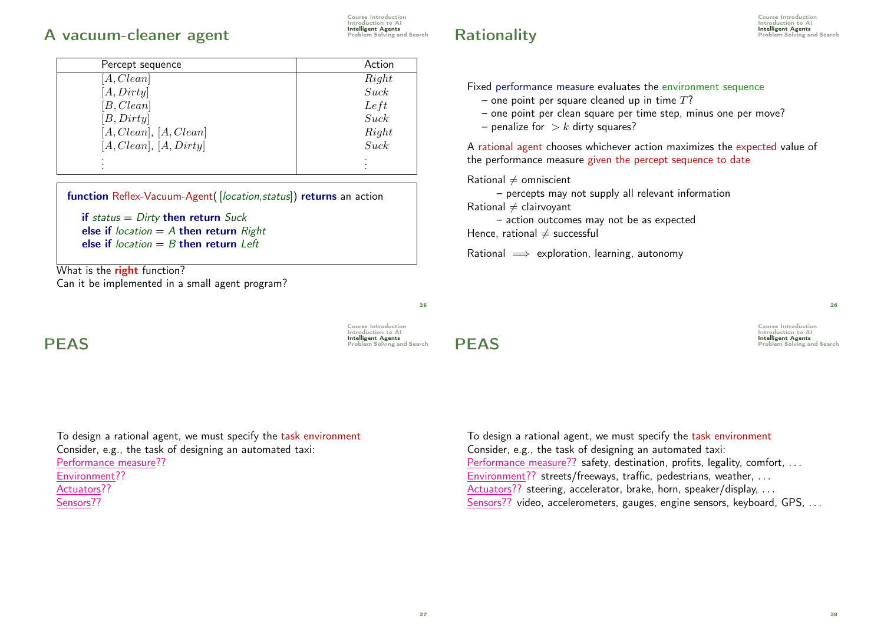## A vacuum-cleaner agent **Intelligent Agents**

| Course Introduction       |
|---------------------------|
| Introduction to Al        |
| <b>Intelligent Agents</b> |
| Problem Solving and Sea   |

| Percept sequence       | Action |
|------------------------|--------|
| [A, Clean]             | Right  |
| [A, Dirty]             | Suck   |
| [B, Clean]             | Left   |
| [B, Dirty]             | Suck   |
| [A, Clean], [A, Clean] | Right  |
| [A, Clean], [A, Dirty] | Suck   |
|                        |        |
|                        |        |

function Reflex-Vacuum-Agent([location,status]) returns an action

```
if status = Dirty then return Suck
else if location = A then return Rightelse if location = B then return Left
```
What is the **right** function? Can it be implemented in a small agent program?

To design a rational agent, we must specify the task environment Consider, e.g., the task of designing an automated taxi: Performance measure?? Environment?? Actuators?? Sensors??

# **Rationality Rationality Rationality Problem Solving and Search**

Course Introduction Introduction to Al<br>Intelligent Agents

### Fixed performance measure evaluates the environment sequence

- one point per square cleaned up in time  $T$ ?
- one point per clean square per time step, minus one per move?
- penalize for  $> k$  dirty squares?

A rational agent chooses whichever action maximizes the expected value of the performance measure given the percept sequence to date

Rational  $\neq$  omniscient

– percepts may not supply all relevant information

Rational  $\neq$  clairvovant

– action outcomes may not be as expected Hence, rational  $\neq$  successful

Rational  $\implies$  exploration, learning, autonomy

25

Course Introduction Introduction to AI<br>**Intelligent Agents** Intelligent Agents PEAS Problem Solving and Search

Course Introduction Introduction to AI Intelligent Agents PEAS Problem Solving and Search

26

To design a rational agent, we must specify the task environment Consider, e.g., the task of designing an automated taxi: Performance measure?? safety, destination, profits, legality, comfort, ... Environment?? streets/freeways, traffic, pedestrians, weather, ... Actuators?? steering, accelerator, brake, horn, speaker/display, ... Sensors?? video, accelerometers, gauges, engine sensors, keyboard, GPS, ...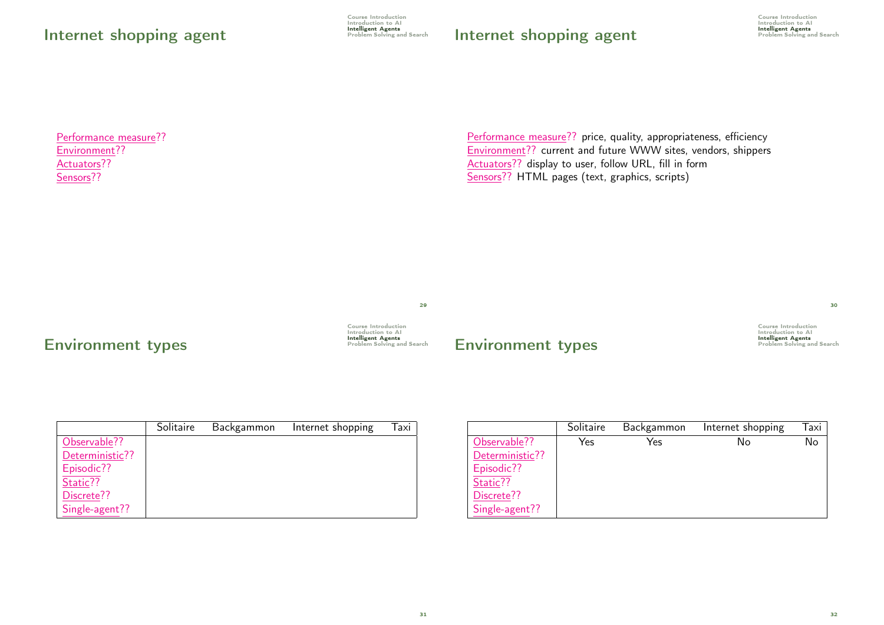# Internet shopping agent

Course Introduction Introduction to AI **Intelligent Agents**<br>Problem Solving and Search

# Internet shopping agent

Course Introduction Introduction to AI **Intelligent Agents**<br>Problem Solving and Search

Performance measure?? Environment?? Actuators?? Sensors??

Performance measure?? price, quality, appropriateness, efficiency Environment?? current and future WWW sites, vendors, shippers Actuators?? display to user, follow URL, fill in form Sensors?? HTML pages (text, graphics, scripts)

29

31

# **Environment types Environment implem Solving and Search**

Course Introduction Introduction to Al

## **Environment types**

Course Introduction Course Introduction<br>Introduction to AI<br>**Intelligent Agents**<br>Problem Solving and Search

|                 | Solitaire | Backgammon | Internet shopping | Taxi |
|-----------------|-----------|------------|-------------------|------|
| Observable??    |           |            |                   |      |
| Deterministic?? |           |            |                   |      |
| Episodic??      |           |            |                   |      |
| Static??        |           |            |                   |      |
| Discrete??      |           |            |                   |      |
| Single-agent??  |           |            |                   |      |

|                 | Solitaire | Backgammon | Internet shopping | Taxi |
|-----------------|-----------|------------|-------------------|------|
| Observable??    | Yes       | Yes        | No                | No   |
| Deterministic?? |           |            |                   |      |
| Episodic??      |           |            |                   |      |
| Static??        |           |            |                   |      |
| Discrete??      |           |            |                   |      |
| Single-agent??  |           |            |                   |      |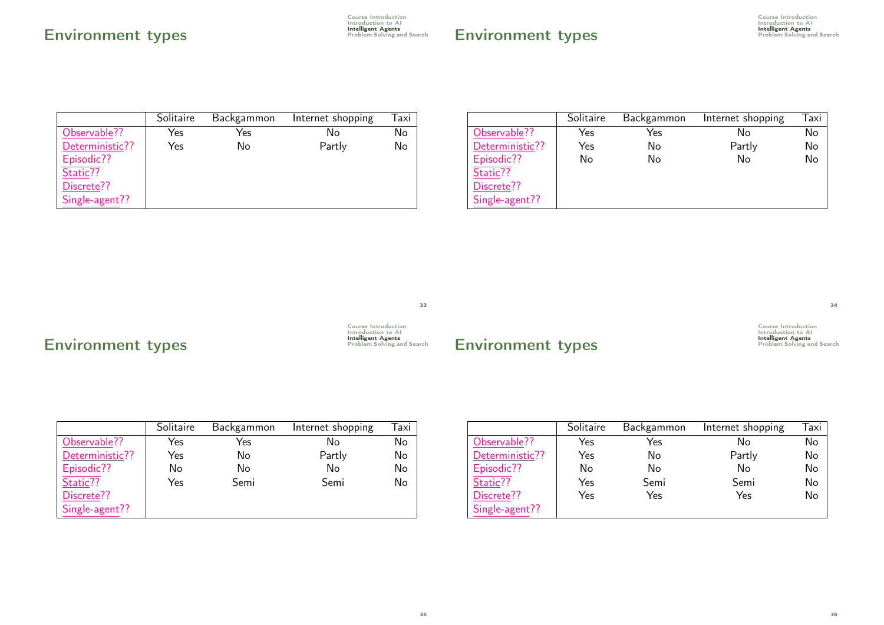# Environment types **Environment** and Search **Environment** structure of  $\frac{1}{2}$  Problem Solving and Search

Course Introduction Introduction to AI

|                 | Solitaire | Backgammon | Internet shopping | Taxi |
|-----------------|-----------|------------|-------------------|------|
| Observable??    | Yes       | Yes        | N٥                | No   |
| Deterministic?? | Yes       | No         | Partly            | No   |
| Episodic??      |           |            |                   |      |
| Static??        |           |            |                   |      |
| Discrete??      |           |            |                   |      |
| Single-agent??  |           |            |                   |      |

|                 | Solitaire | Backgammon | Internet shopping | Taxi |
|-----------------|-----------|------------|-------------------|------|
| Observable??    | Yes       | Yes        | No                | No   |
| Deterministic?? | Yes       | No         | Partly            | No   |
| Episodic??      | No        | No         | No                | No   |
| Static??        |           |            |                   |      |
| Discrete??      |           |            |                   |      |
| Single-agent??  |           |            |                   |      |

33

# Environment types

Course Introduction Introduction to AI

# Environment types

Course Introduction Introduction to AI

|                 | Solitaire | Backgammon | Internet shopping | Taxi |
|-----------------|-----------|------------|-------------------|------|
| Observable??    | Yes       | Yes        | No                | No   |
| Deterministic?? | Yes       | No         | Partly            | No   |
| Episodic??      | No        | No         | No                | No   |
| Static??        | Yes       | Semi       | Semi              | No   |
| Discrete??      |           |            |                   |      |
| Single-agent??  |           |            |                   |      |

|                 | Solitaire | Backgammon | Internet shopping | Taxi |
|-----------------|-----------|------------|-------------------|------|
| Observable??    | Yes       | Yes        | No                | No   |
| Deterministic?? | Yes       | No         | Partly            | No   |
| Episodic??      | No        | No         | No                | No   |
| Static??        | Yes       | Semi       | Semi              | No   |
| Discrete??      | Yes       | Yes        | Yes               | No   |
| Single-agent??  |           |            |                   |      |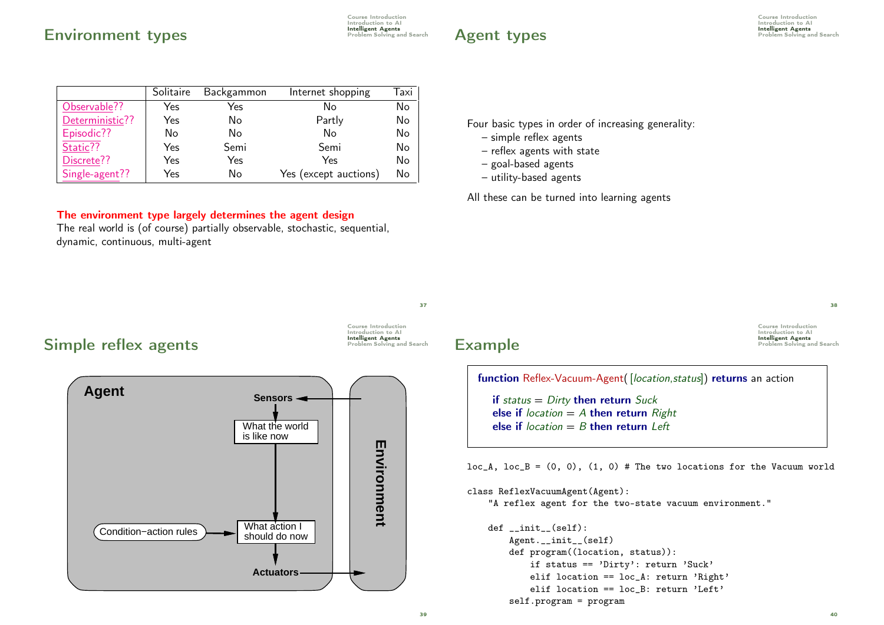## **Environment types Environment Environment**

Course Introduction Introduction to AI

## **Agent types Example 2 Problem Solving and Search**

Course Introduction Introduction to Al<br>Intelligent Agents

|                 | Solitaire | Backgammon | Internet shopping     | Taxi |
|-----------------|-----------|------------|-----------------------|------|
| Observable??    | Yes       | Yes        | N٥                    | No   |
| Deterministic?? | Yes       | No         | Partly                | No   |
| Episodic??      | No        | No         | No                    | No   |
| Static??        | Yes       | Semi       | Semi                  | No   |
| Discrete??      | Yes       | Yes        | Yes                   | No   |
| Single-agent??  | Yes       | No         | Yes (except auctions) | No   |

#### The environment type largely determines the agent design

The real world is (of course) partially observable, stochastic, sequential, dynamic, continuous, multi-agent

Four basic types in order of increasing generality:

- simple reflex agents
- reflex agents with state
- goal-based agents
- utility-based agents

All these can be turned into learning agents

37

Course Introduction Introduction to AI

## Simple reflex agents **Simple reflex**  $\frac{1}{2}$



Course Introduction Introduction to AI<br>Intelligent Agents Example **Example** 

 $38$ 

40

function Reflex-Vacuum-Agent([location,status]) returns an action

if status  $=$  Dirty then return Suck else if  $location = A$  then return  $Right$ else if  $location = B$  then return  $left$ 

 $loc_A$ ,  $loc_B = (0, 0)$ ,  $(1, 0)$  # The two locations for the Vacuum world

class ReflexVacuumAgent(Agent):

"A reflex agent for the two-state vacuum environment."

```
def __init__(self):
    Agent.__init__(self)
    def program((location, status)):
        if status == 'Dirty': return 'Suck'
        elif location == loc_A: return 'Right'
        elif location == loc B: return 'Left'
    self.program = program
```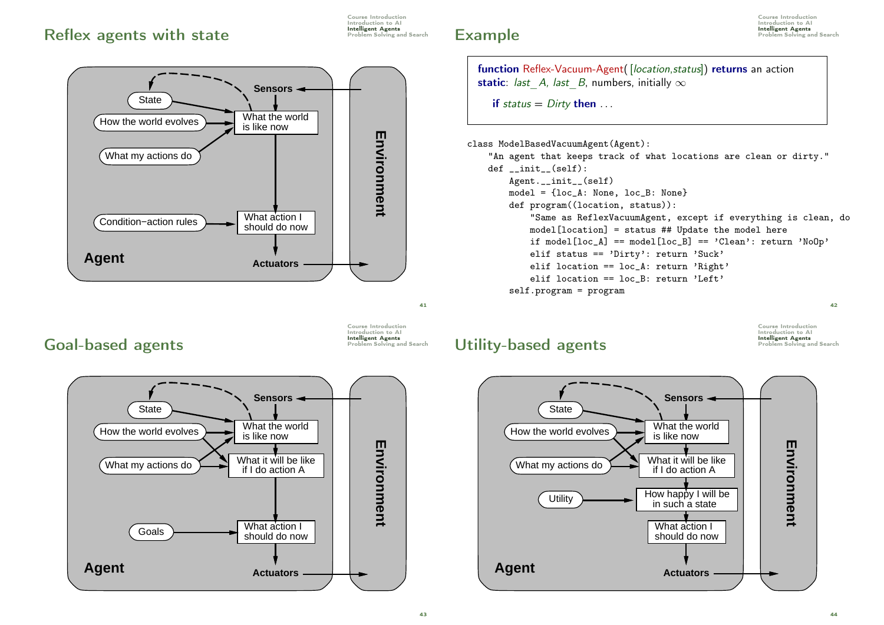# Reflex agents with state **Intelligent Agents**

Course Introduction Introduction to AI



# Example **Example**



if status  $=$  Dirty then  $\dots$ 

class ModelBasedVacuumAgent(Agent):

"An agent that keeps track of what locations are clean or dirty." def \_\_init\_\_(self): Agent.\_\_init\_\_(self) model = {loc\_A: None, loc\_B: None} def program((location, status)): "Same as ReflexVacuumAgent, except if everything is clean, do model[location] = status ## Update the model here if model[loc A] == model[loc B] == 'Clean': return 'NoOp' elif status == 'Dirty': return 'Suck' elif location == loc A: return 'Right' elif location == loc\_B: return 'Left' self.program = program

 $42$ 

Goal-based agents **Goal-based**  $\frac{1}{2}$ 

Course Introduction Introduction to AI

 $41$ 



## Utility-based agents **Intelligent Agents**

Course Introduction Introduction to AI<br>Intelligent Agents

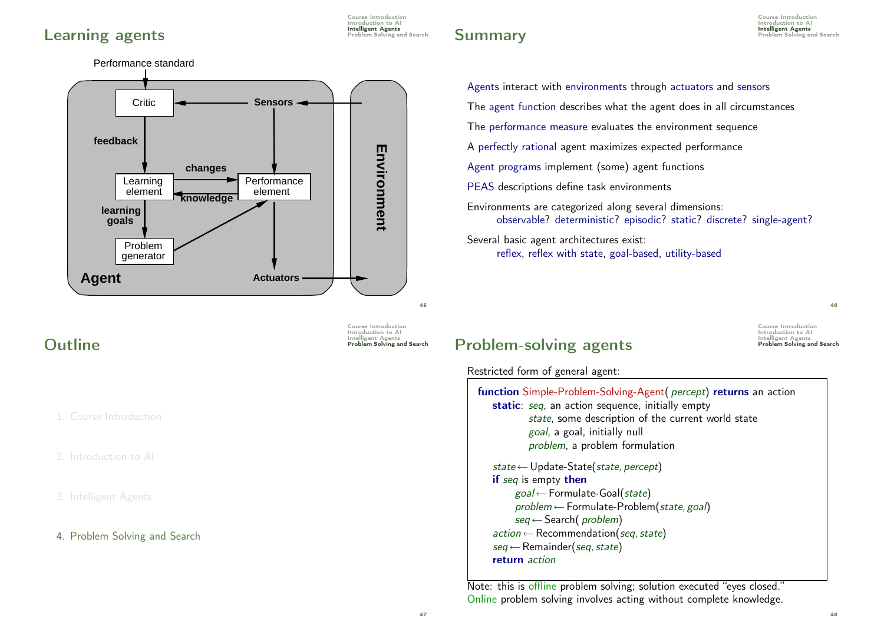# **Learning agents Learning agents**

Course Introduction Introduction to AI

# **Summary Summary Summary Summary Summary Problem Solving and Search**

Course Introduction Introduction to Al<br>Intelligent Agents



1. Course Introduction

2. Introduction to AI

3. Intelligent Agents

### 4. Problem Solving and Search

Course Introduction Introduction to AI<br>
Intelligent Agents<br>
Problem Solving and Search

# Problem-solving agents

Restricted form of general agent:

| function Simple-Problem-Solving-Agent( percept) returns an action |
|-------------------------------------------------------------------|
| static: seq, an action sequence, initially empty                  |
| state, some description of the current world state                |
| goal, a goal, initially null                                      |
| problem, a problem formulation                                    |
| state $\leftarrow$ Update-State(state, percept)                   |
| if seq is empty then                                              |
| $goal \leftarrow$ Formulate-Goal(state)                           |
| $problem \leftarrow$ Formulate-Problem(state, goal)               |
| $seq \leftarrow$ Search( <i>problem</i> )                         |
| $action \leftarrow Recommentation(seq, state)$                    |
| $seq \leftarrow$ Remainder(seq, state)                            |
| return action                                                     |
|                                                                   |

Agents interact with environments through actuators and sensors

The performance measure evaluates the environment sequence

A perfectly rational agent maximizes expected performance

Agent programs implement (some) agent functions

Environments are categorized along several dimensions:

reflex, reflex with state, goal-based, utility-based

PEAS descriptions define task environments

Several basic agent architectures exist:

The agent function describes what the agent does in all circumstances

observable? deterministic? episodic? static? discrete? single-agent?

Note: this is offline problem solving; solution executed "eyes closed." Online problem solving involves acting without complete knowledge.

46

Course Introduction **Introduction to AI**<br>Introduction to AI<br>Intelligent Agents<br>Problem Solving and Search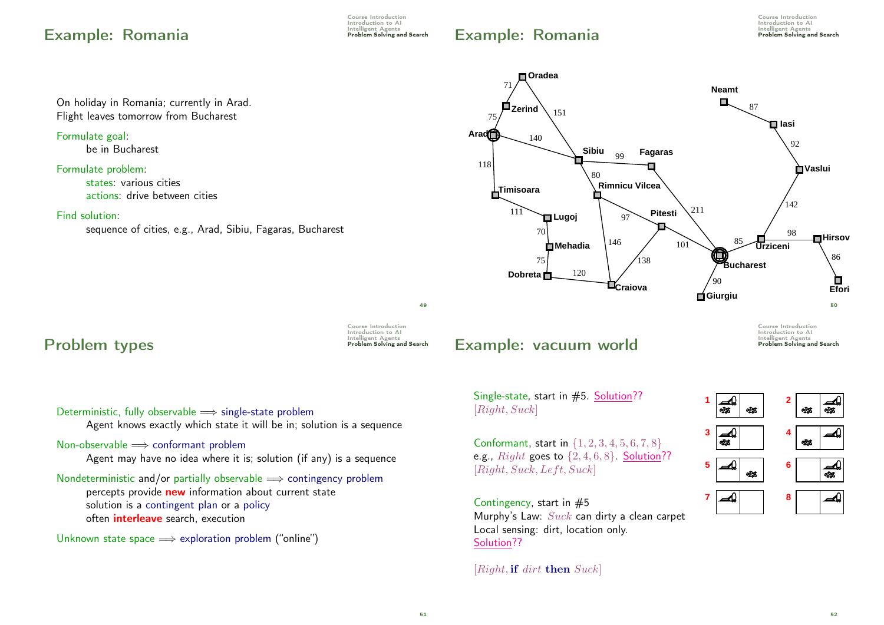# Example: Romania Problem Solving and Search

Course Introduction Introduction to AI<br>Intelligent Agents

# Example: Romania Problem Solving and Search

Course Introduction Introduction to AI<br>Intelligent Agents

On holiday in Romania; currently in Arad. Flight leaves tomorrow from Bucharest Formulate goal: be in Bucharest Formulate problem:

states: various cities actions: drive between cities

#### Find solution:

sequence of cities, e.g., Arad, Sibiu, Fagaras, Bucharest



**Problem types** Problem Solving and Search

Course Introduction Introduction to AI<br>Intelligent Agents

49

# Example: vacuum world

Single-state, start in #5. Solution?? [Right, Suck]

Conformant, start in {1, 2, 3, 4, 5, 6, 7, 8} e.g.,  $Right$  goes to  $\{2, 4, 6, 8\}$ . Solution??  $[Right, Suck, Left, Suck]$ 

Contingency, start in  $#5$ Murphy's Law: Suck can dirty a clean carpet Local sensing: dirt, location only. Solution??

[Right, if dirt then Suck]



Deterministic, fully observable  $\implies$  single-state problem

Agent knows exactly which state it will be in; solution is a sequence

## Non-observable  $\implies$  conformant problem

Agent may have no idea where it is; solution (if any) is a sequence

Nondeterministic and/or partially observable  $\implies$  contingency problem percepts provide new information about current state solution is a contingent plan or a policy often *interleave* search, execution

Unknown state space  $\implies$  exploration problem ("online")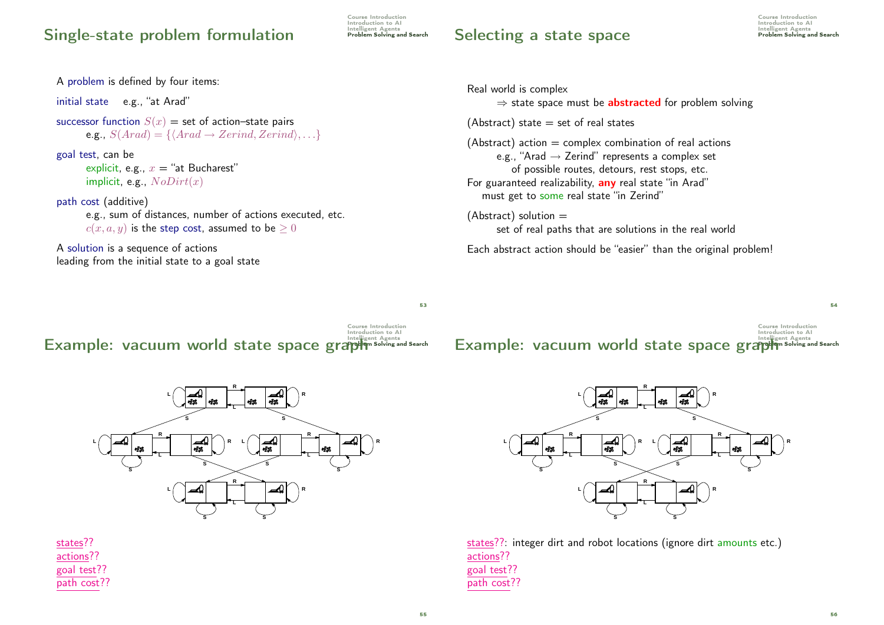# Single-state problem formulation Problem Solving and Search

Course Introduction Introduction to AI<br>Intelligent Agents

## Selecting a state space **Intelligent Agents**

Course Introduction Introduction to AI<br>Intelligent Agents

A problem is defined by four items: initial state e.g., "at Arad" successor function  $S(x) =$  set of action–state pairs e.g.,  $S(Arad) = \{ \langle Arad \rightarrow Zerind, Zerind \rangle, \ldots \}$ goal test, can be explicit, e.g.,  $x =$  "at Bucharest" implicit, e.g.,  $NoDirt(x)$ path cost (additive) e.g., sum of distances, number of actions executed, etc.  $c(x, a, y)$  is the step cost, assumed to be  $\geq 0$ A solution is a sequence of actions leading from the initial state to a goal state

Course Introduction Introduction to AI<br>Intelligent Agents Example: vacuum world state space graph Solving and Search



states?? actions?? goal test?? path cost??

Real world is complex  $\Rightarrow$  state space must be **abstracted** for problem solving (Abstract) state  $=$  set of real states  $(Abstructor)$  action  $=$  complex combination of real actions e.g., "Arad  $\rightarrow$  Zerind" represents a complex set of possible routes, detours, rest stops, etc. For guaranteed realizability, any real state "in Arad" must get to some real state "in Zerind"  $(Abstruct)$  solution  $=$ set of real paths that are solutions in the real world

Each abstract action should be "easier" than the original problem!

Course Introduction Introduction to AI<br>Intelligent Agents Example: vacuum world state space graph Solving and Search



states??: integer dirt and robot locations (ignore dirt amounts etc.) actions?? goal test?? path cost??

53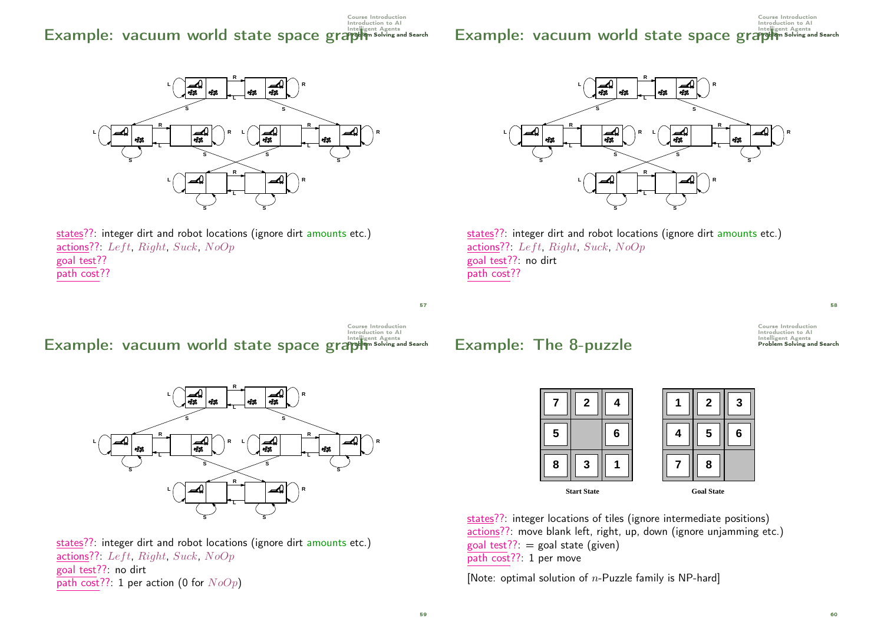#### Course Introduction Introduction to AI<br>Intelligent Agents Example: vacuum world state space graph Solving and Search

#### Course Introduction Introduction to AI Example: vacuum world state space graph Solving and Search





Course Introduction Introduction to AI<br>Intelligent Agents Example: vacuum world state space graph Solving and Search



states??: integer dirt and robot locations (ignore dirt amounts etc.) actions??: Left, Right, Suck, NoOp goal test??: no dirt path cost??: 1 per action (0 for  $NoOp$ )



states??: integer dirt and robot locations (ignore dirt amounts etc.) actions??: Left, Right, Suck,  $NoOp$ goal test??: no dirt path cost??

Example: The 8-puzzle

Course Introduction **Introduction to AI**<br>Introduction to AI<br>Intelligent Agents<br>Problem Solving and Search

58



states??: integer locations of tiles (ignore intermediate positions) actions??: move blank left, right, up, down (ignore unjamming etc.) goal test??:  $=$  goal state (given) path cost??: 1 per move

[Note: optimal solution of  $n$ -Puzzle family is NP-hard]